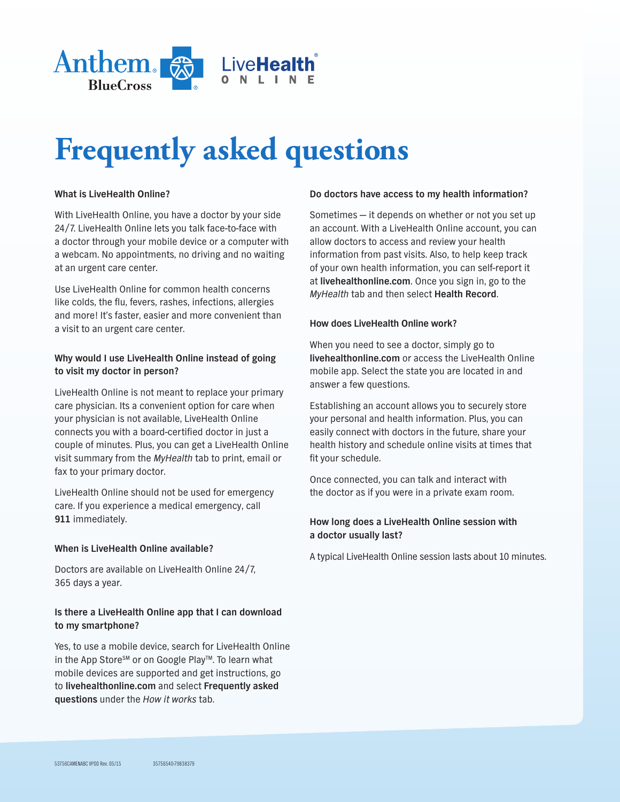

# **Frequently asked questions**

# **What is LiveHealth Online?**

With LiveHealth Online, you have a doctor by your side 24/7. LiveHealth Online lets you talk face-to-face with a doctor through your mobile device or a computer with a webcam. No appointments, no driving and no waiting at an urgent care center.

Use LiveHealth Online for common health concerns like colds, the flu, fevers, rashes, infections, allergies and more! It's faster, easier and more convenient than a visit to an urgent care center.

## **Why would I use LiveHealth Online instead of going to visit my doctor in person?**

LiveHealth Online is not meant to replace your primary care physician. Its a convenient option for care when your physician is not available, LiveHealth Online connects you with a board-certified doctor in just a couple of minutes. Plus, you can get a LiveHealth Online visit summary from the *MyHealth* tab to print, email or fax to your primary doctor.

LiveHealth Online should not be used for emergency care. If you experience a medical emergency, call **911** immediately.

## **When is LiveHealth Online available?**

Doctors are available on LiveHealth Online 24/7, 365 days a year.

# **Is there a LiveHealth Online app that I can download to my smartphone?**

Yes, to use a mobile device, search for LiveHealth Online in the App Store<sup>sM</sup> or on Google Play<sup>™</sup>. To learn what mobile devices are supported and get instructions, go to **livehealthonline.com** and select **Frequently asked questions** under the *How it works* tab.

## **Do doctors have access to my health information?**

Sometimes — it depends on whether or not you set up an account. With a LiveHealth Online account, you can allow doctors to access and review your health information from past visits. Also, to help keep track of your own health information, you can self-report it at **livehealthonline.com**. Once you sign in, go to the *MyHealth* tab and then select **Health Record**.

### **How does LiveHealth Online work?**

When you need to see a doctor, simply go to **livehealthonline.com** or access the LiveHealth Online mobile app. Select the state you are located in and answer a few questions.

Establishing an account allows you to securely store your personal and health information. Plus, you can easily connect with doctors in the future, share your health history and schedule online visits at times that fit your schedule.

Once connected, you can talk and interact with the doctor as if you were in a private exam room.

# **How long does a LiveHealth Online session with a doctor usually last?**

A typical LiveHealth Online session lasts about 10 minutes.